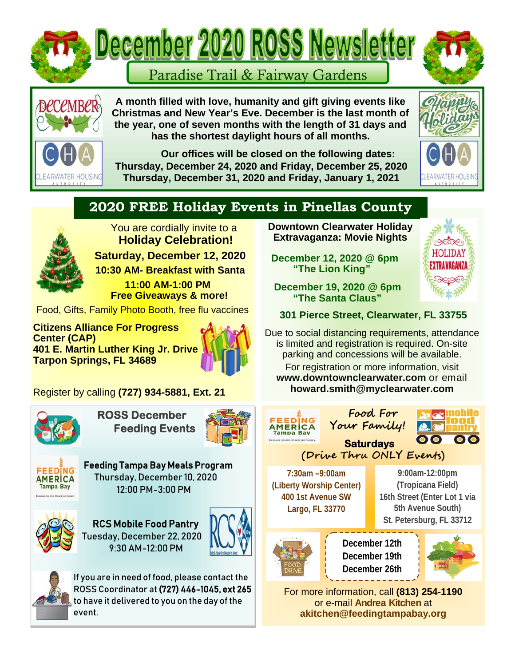



**A month filled with love, humanity and gift giving events like Christmas and New Year's Eve. December is the last month of the year, one of seven months with the length of 31 days and has the shortest daylight hours of all months.** 

 **Our offices will be closed on the following dates: Thursday, December 24, 2020 and Friday, December 25, 2020 Thursday, December 31, 2020 and Friday, January 1, 2021** 



## **2020 FREE Holiday Events in Pinellas County**



 You are cordially invite to a **Holiday Celebration! Saturday, December 12, 2020** 

**10:30 AM- Breakfast with Santa** 

 **11:00 AM-1:00 PM Free Giveaways & more!** 

Food, Gifts, Family Photo Booth, free flu vaccines

**Citizens Alliance For Progress Center (CAP) 401 E. Martin Luther King Jr. Drive Tarpon Springs, FL 34689** 



Register by calling **(727) 934-5881, Ext. 21** 



 **ROSS December Feeding Events**





 Feeding Tampa Bay Meals Program Thursday, December 10, 2020 12:00 PM-3:00 PM



 RCS Mobile Food Pantry Tuesday, December 22, 2020 9:30 AM-12:00 PM





If you are in need of food, please contact the ROSS Coordinator at (727) 446-1045, ext 265 to have it delivered to you on the day of the event.

**Downtown Clearwater Holiday Extravaganza: Movie Nights** 

 **December 12, 2020 @ 6pm "The Lion King"** 



 **December 19, 2020 @ 6pm "The Santa Claus"** 

 **301 Pierce Street, Clearwater, FL 33755** 

Due to social distancing requirements, attendance is limited and registration is required. On-site parking and concessions will be available.

For registration or more information, visit **www.downtownclearwater.com** or email **howard.smith@myclearwater.com**





**December 12th December 19th December 26th** 



For more information, call **(813) 254-1190** or e-mail **Andrea Kitchen** at **akitchen@feedingtampabay.org**